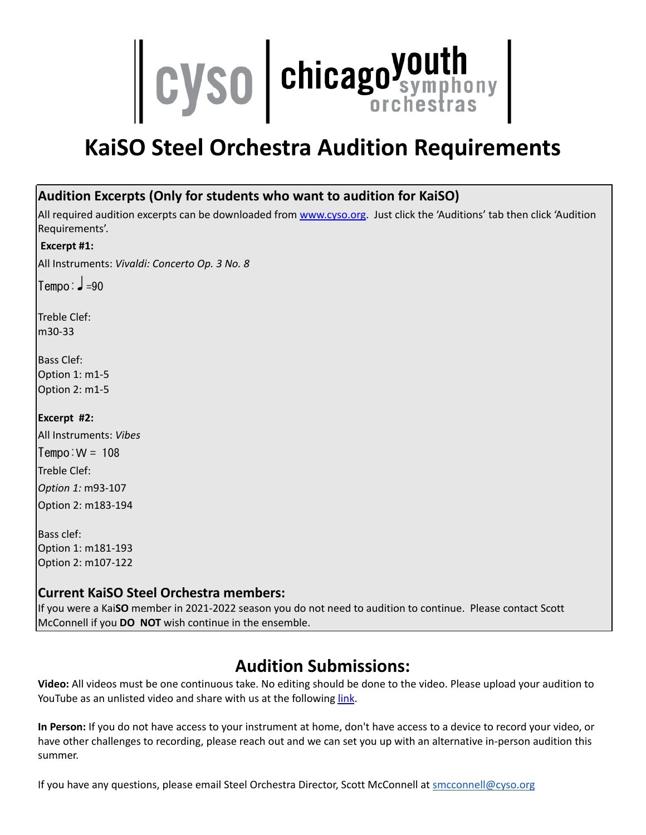

# **KaiSO Steel Orchestra Audition Requirements**

#### **Audition Excerpts (Only for students who want to audition for KaiSO)**

All required audition excerpts can be downloaded from [www.cyso.org](http://www.cyso.org). Just click the 'Auditions' tab then click 'Audition Requirements'.

#### **Excerpt #1:**

All Instruments: *Vivaldi: Concerto Op. 3 No. 8*

 $Temo: J = 90$ 

Treble Clef: m30-33

Bass Clef: Option 1: m1-5 Option 2: m1-5

**Excerpt #2:**

All Instruments: *Vibes*  $Termo:W = 108$ Treble Clef: *Option 1:* m93-107

Option 2: m183-194

Bass clef: Option 1: m181-193 Option 2: m107-122

#### **Current KaiSO Steel Orchestra members:**

If you were a Kai**SO** member in 2021-2022 season you do not need to audition to continue. Please contact Scott McConnell if you **DO NOT** wish continue in the ensemble.

### **Audition Submissions:**

**Video:** All videos must be one continuous take. No editing should be done to the video. Please upload your audition to YouTube as an unlisted video and share with us at the following [link](https://form.jotform.com/201625522119043).

**In Person:** If you do not have access to your instrument at home, don't have access to a device to record your video, or have other challenges to recording, please reach out and we can set you up with an alternative in-person audition this summer.

If you have any questions, please email Steel Orchestra Director, Scott McConnell at smcconnell@cyso.org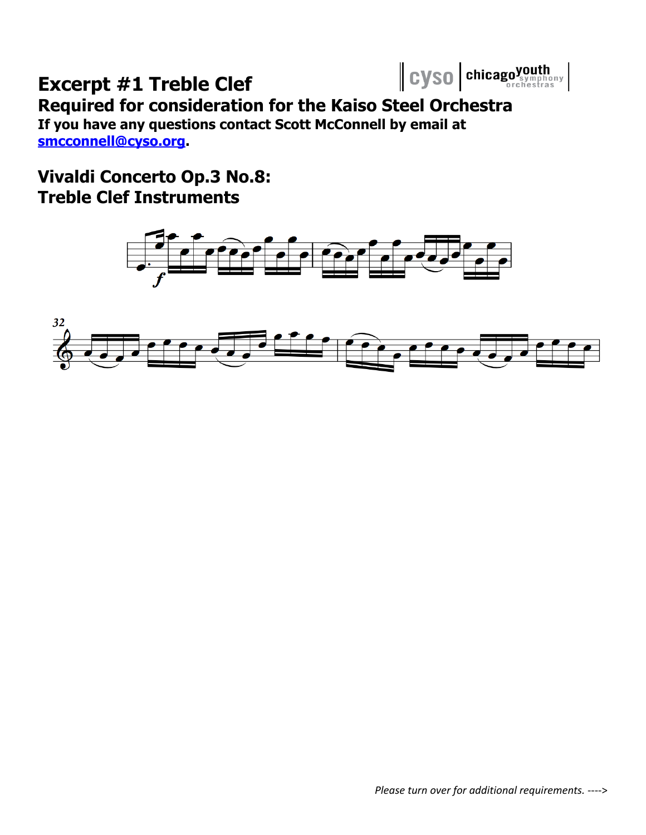# Cyso | chicagoyouth

# **Excerpt #1 Treble Clef**

### **Required for consideration for the Kaiso Steel Orchestra If you have any questions contact Scott McConnell by email at**

**[smcconnell@cyso.org.](mailto:smcconnell@cyso.org)**

## **Vivaldi Concerto Op.3 No.8: Treble Clef Instruments**

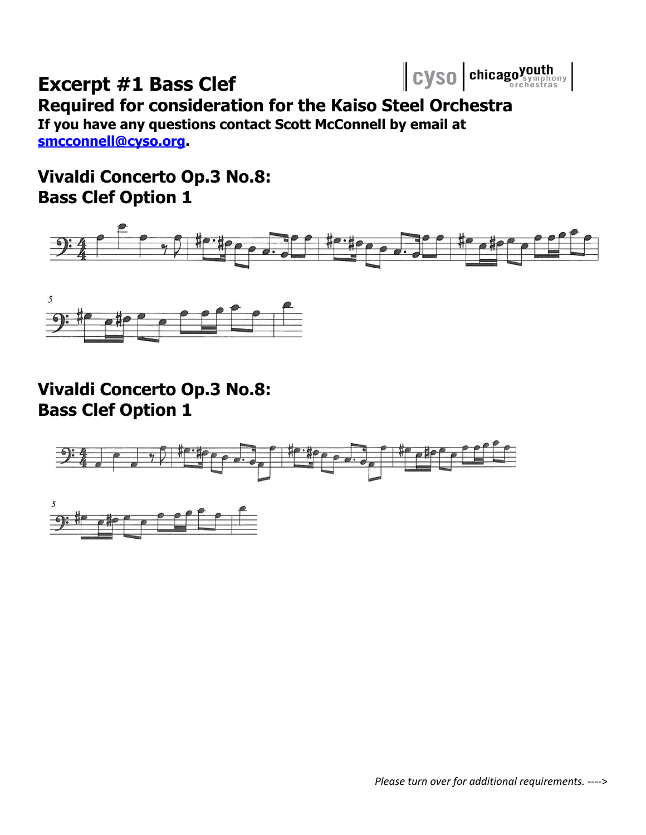

# **Excerpt #1 Bass Clef**

**Required for consideration for the Kaiso Steel Orchestra If you have any questions contact Scott McConnell by email at**

**[smcconnell@cyso.org.](mailto:smcconnell@cyso.org)**

**Vivaldi Concerto Op.3 No.8: Bass Clef Option 1**





**Vivaldi Concerto Op.3 No.8: Bass Clef Option 1**

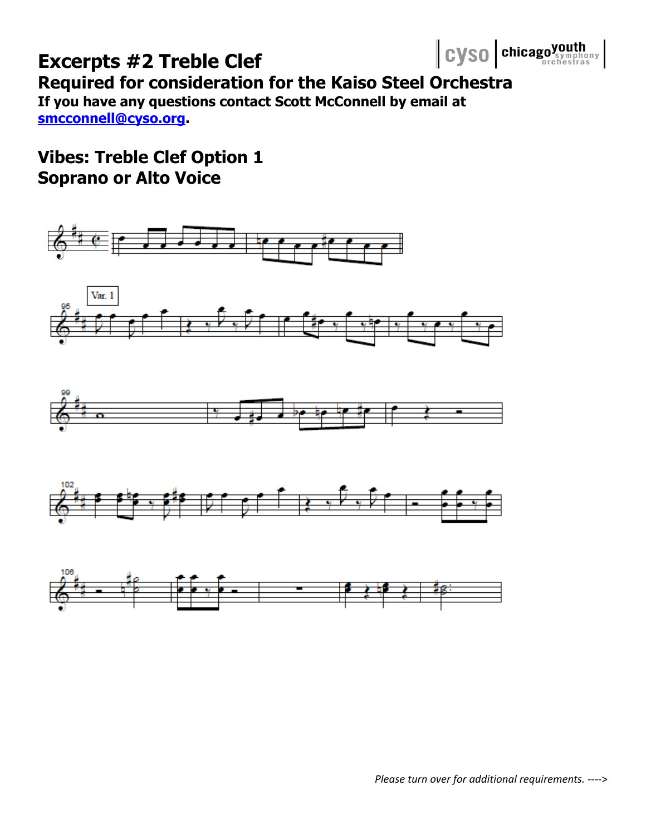#### Cyso chicagoyouth **Excerpts #2 Treble Clef Required for consideration for the Kaiso Steel Orchestra If you have any questions contact Scott McConnell by email at [smcconnell@cyso.org.](mailto:smcconnell@cyso.org)**

## **Vibes: Treble Clef Option 1 Soprano or Alto Voice**

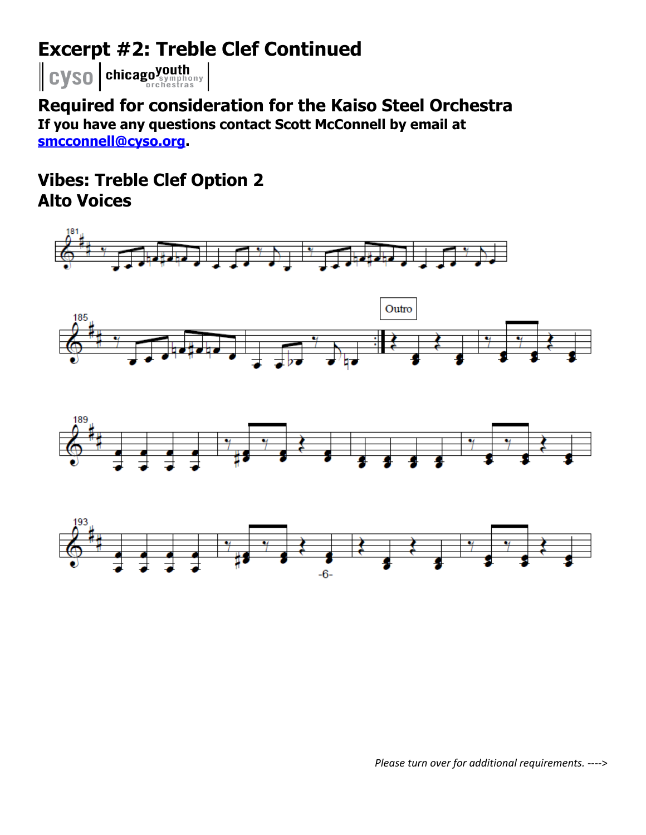## **Excerpt #2: Treble Clef Continued**

Cyso chicagoyouth

**Required for consideration for the Kaiso Steel Orchestra If you have any questions contact Scott McConnell by email at [smcconnell@cyso.org.](mailto:smcconnell@cyso.org)**

**Vibes: Treble Clef Option 2 Alto Voices**

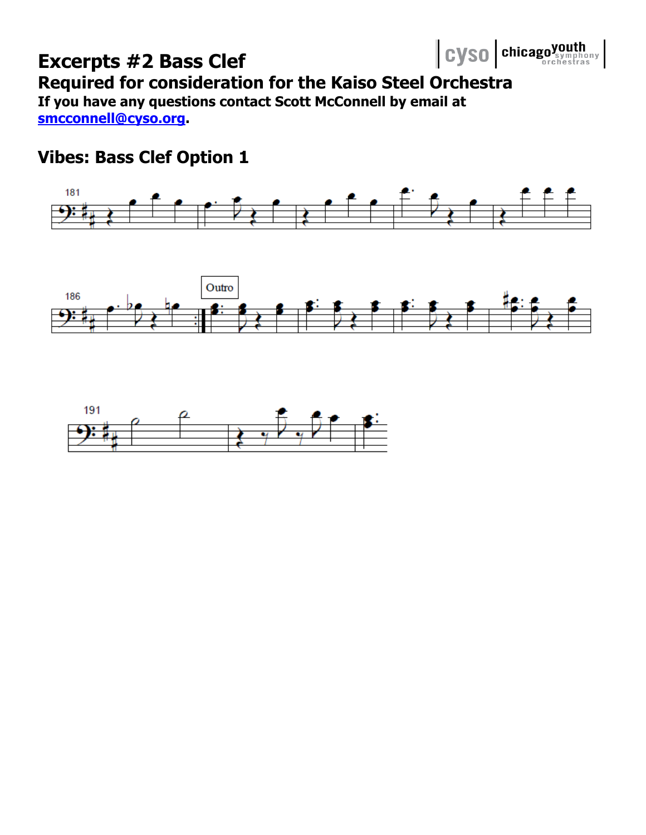

## **Vibes: Bass Clef Option 1**